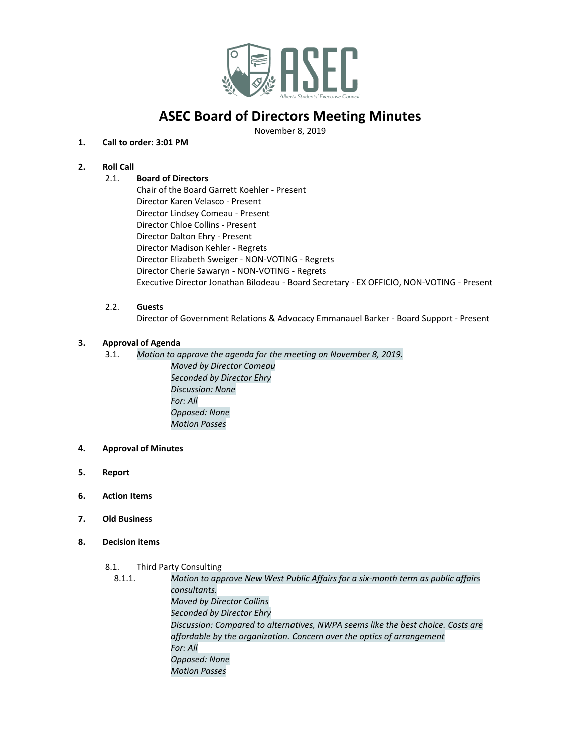

# **ASEC Board of Directors Meeting Minutes**

November 8, 2019

# **1. Call to order: 3:01 PM**

# **2. Roll Call**

# 2.1. **Board of Directors**

Chair of the Board Garrett Koehler - Present Director Karen Velasco - Present Director Lindsey Comeau - Present Director Chloe Collins - Present Director Dalton Ehry - Present Director Madison Kehler - Regrets Director Elizabeth Sweiger - NON-VOTING - Regrets Director Cherie Sawaryn - NON-VOTING - Regrets Executive Director Jonathan Bilodeau - Board Secretary - EX OFFICIO, NON-VOTING - Present

#### 2.2. **Guests**

Director of Government Relations & Advocacy Emmanauel Barker - Board Support - Present

## **3. Approval of Agenda**

- 3.1. *Motion to approve the agenda for the meeting on November 8, 2019. Moved by Director Comeau Seconded by Director Ehry Discussion: None For: All Opposed: None Motion Passes*
- **4. Approval of Minutes**
- **5. Report**
- **6. Action Items**
- **7. Old Business**
- **8. Decision items**
	- 8.1. Third Party Consulting
		- 8.1.1. *Motion to approve New West Public Affairs for a six-month term as public affairs consultants. Moved by Director Collins Seconded by Director Ehry Discussion: Compared to alternatives, NWPA seems like the best choice. Costs are affordable by the organization. Concern over the optics of arrangement For: All Opposed: None Motion Passes*